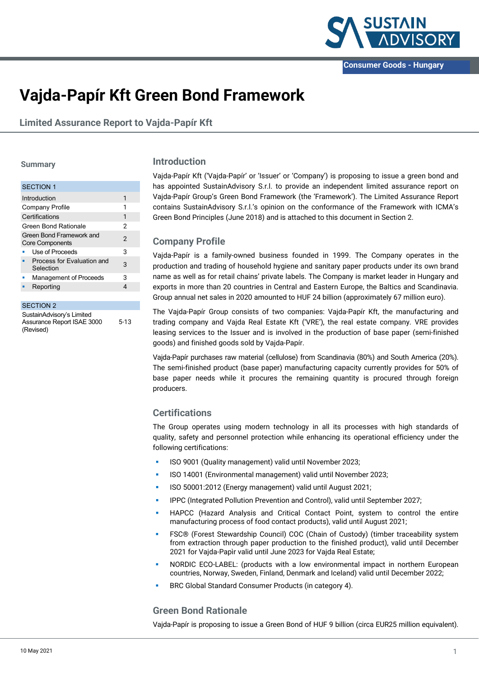

# **Vajda-Papír Kft Green Bond Framework**

**Limited Assurance Report to Vajda-Papír Kft**

#### **Summary**

| <b>SECTION 1</b>                                   |                |
|----------------------------------------------------|----------------|
| Introduction                                       | 1              |
| Company Profile                                    | 1              |
| Certifications                                     | 1              |
| Green Bond Rationale                               | 2              |
| Green Bond Framework and<br><b>Core Components</b> | $\mathfrak{p}$ |
| Use of Proceeds                                    | 3              |
| Process for Evaluation and<br>Selection            | 3              |
| Management of Proceeds                             | 3              |
| Reporting                                          | 4              |
|                                                    |                |

#### SECTION 2

SustainAdvisory's Limited Assurance Report ISAE 3000 (Revised) 5-13

#### **Introduction**

Vajda-Papír Kft ('Vajda-Papír' or 'Issuer' or 'Company') is proposing to issue a green bond and has appointed SustainAdvisory S.r.l. to provide an independent limited assurance report on Vajda-Papír Group's Green Bond Framework (the 'Framework'). The Limited Assurance Report contains SustainAdvisory S.r.l.'s opinion on the conformance of the Framework with ICMA's Green Bond Principles (June 2018) and is attached to this document in Section 2.

### **Company Profile**

Vajda-Papír is a family-owned business founded in 1999. The Company operates in the production and trading of household hygiene and sanitary paper products under its own brand name as well as for retail chains' private labels. The Company is market leader in Hungary and exports in more than 20 countries in Central and Eastern Europe, the Baltics and Scandinavia. Group annual net sales in 2020 amounted to HUF 24 billion (approximately 67 million euro).

The Vajda-Papír Group consists of two companies: Vajda-Papír Kft, the manufacturing and trading company and Vajda Real Estate Kft ('VRE'), the real estate company. VRE provides leasing services to the Issuer and is involved in the production of base paper (semi-finished goods) and finished goods sold by Vajda-Papír.

Vajda-Papír purchases raw material (cellulose) from Scandinavia (80%) and South America (20%). The semi-finished product (base paper) manufacturing capacity currently provides for 50% of base paper needs while it procures the remaining quantity is procured through foreign producers.

## **Certifications**

The Group operates using modern technology in all its processes with high standards of quality, safety and personnel protection while enhancing its operational efficiency under the following certifications:

- ISO 9001 (Quality management) valid until November 2023;
- ISO 14001 (Environmental management) valid until November 2023;
- ISO 50001:2012 (Energy management) valid until August 2021;
- IPPC (Integrated Pollution Prevention and Control), valid until September 2027;
- HAPCC (Hazard Analysis and Critical Contact Point, system to control the entire manufacturing process of food contact products), valid until August 2021;
- FSC® (Forest Stewardship Council) COC (Chain of Custody) (timber traceability system from extraction through paper production to the finished product), valid until December 2021 for Vajda-Papìr valid until June 2023 for Vajda Real Estate;
- NORDIC ECO-LABEL: (products with a low environmental impact in northern European countries, Norway, Sweden, Finland, Denmark and Iceland) valid until December 2022;
- BRC Global Standard Consumer Products (in category 4).

## **Green Bond Rationale**

Vajda-Papír is proposing to issue a Green Bond of HUF 9 billion (circa EUR25 million equivalent).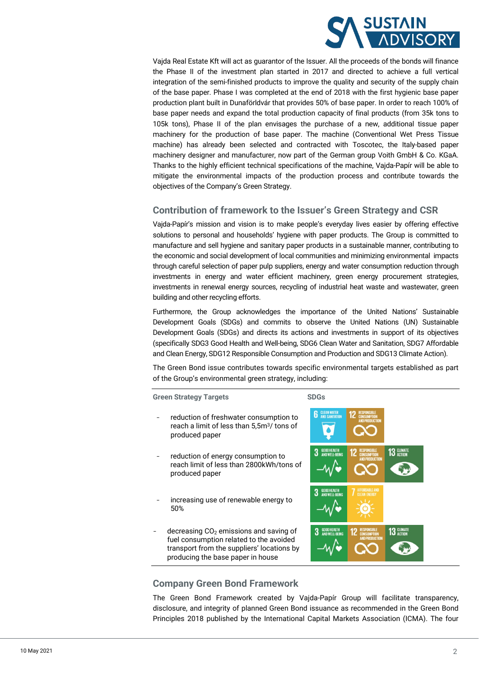

Vajda Real Estate Kft will act as guarantor of the Issuer. All the proceeds of the bonds will finance the Phase II of the investment plan started in 2017 and directed to achieve a full vertical integration of the semi-finished products to improve the quality and security of the supply chain of the base paper. Phase I was completed at the end of 2018 with the first hygienic base paper production plant built in Dunaförldvár that provides 50% of base paper. In order to reach 100% of base paper needs and expand the total production capacity of final products (from 35k tons to 105k tons), Phase II of the plan envisages the purchase of a new, additional tissue paper machinery for the production of base paper. The machine (Conventional Wet Press Tissue machine) has already been selected and contracted with Toscotec, the Italy-based paper machinery designer and manufacturer, now part of the German group Voith GmbH & Co. KGaA. Thanks to the highly efficient technical specifications of the machine, Vajda-Papír will be able to mitigate the environmental impacts of the production process and contribute towards the objectives of the Company's Green Strategy.

## **Contribution of framework to the Issuer's Green Strategy and CSR**

Vajda-Papír's mission and vision is to make people's everyday lives easier by offering effective solutions to personal and households' hygiene with paper products. The Group is committed to manufacture and sell hygiene and sanitary paper products in a sustainable manner, contributing to the economic and social development of local communities and minimizing environmental impacts through careful selection of paper pulp suppliers, energy and water consumption reduction through investments in energy and water efficient machinery, green energy procurement strategies, investments in renewal energy sources, recycling of industrial heat waste and wastewater, green building and other recycling efforts.

Furthermore, the Group acknowledges the importance of the United Nations' Sustainable Development Goals (SDGs) and commits to observe the United Nations (UN) Sustainable Development Goals (SDGs) and directs its actions and investments in support of its objectives (specifically SDG3 Good Health and Well-being, SDG6 Clean Water and Sanitation, SDG7 Affordable and Clean Energy, SDG12 Responsible Consumption and Production and SDG13 Climate Action).

The Green Bond issue contributes towards specific environmental targets established as part of the Group's environmental green strategy, including:

**Green Strategy Targets SDGs**

- reduction of freshwater consumption to reach a limit of less than 5,5m3/ tons of produced paper
- reduction of energy consumption to reach limit of less than 2800kWh/tons of produced paper
- increasing use of renewable energy to 50%
- decreasing  $CO<sub>2</sub>$  emissions and saving of fuel consumption related to the avoided transport from the suppliers' locations by producing the base paper in house



## **Company Green Bond Framework**

The Green Bond Framework created by Vajda-Papír Group will facilitate transparency, disclosure, and integrity of planned Green Bond issuance as recommended in the Green Bond Principles 2018 published by the International Capital Markets Association (ICMA). The four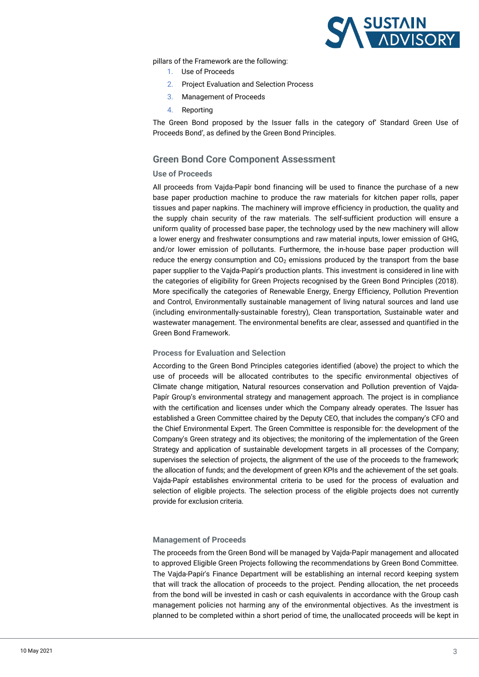

pillars of the Framework are the following:

- 1. Use of Proceeds
- 2. Project Evaluation and Selection Process
- 3. Management of Proceeds
- 4. Reporting

The Green Bond proposed by the Issuer falls in the category of' Standard Green Use of Proceeds Bond', as defined by the Green Bond Principles.

## **Green Bond Core Component Assessment**

#### **Use of Proceeds**

All proceeds from Vajda-Papír bond financing will be used to finance the purchase of a new base paper production machine to produce the raw materials for kitchen paper rolls, paper tissues and paper napkins. The machinery will improve efficiency in production, the quality and the supply chain security of the raw materials. The self-sufficient production will ensure a uniform quality of processed base paper, the technology used by the new machinery will allow a lower energy and freshwater consumptions and raw material inputs, lower emission of GHG, and/or lower emission of pollutants. Furthermore, the in-house base paper production will reduce the energy consumption and  $CO<sub>2</sub>$  emissions produced by the transport from the base paper supplier to the Vajda-Papír's production plants. This investment is considered in line with the categories of eligibility for Green Projects recognised by the Green Bond Principles (2018). More specifically the categories of Renewable Energy, Energy Efficiency, Pollution Prevention and Control, Environmentally sustainable management of living natural sources and land use (including environmentally-sustainable forestry), Clean transportation, Sustainable water and wastewater management. The environmental benefits are clear, assessed and quantified in the Green Bond Framework.

#### **Process for Evaluation and Selection**

According to the Green Bond Principles categories identified (above) the project to which the use of proceeds will be allocated contributes to the specific environmental objectives of Climate change mitigation, Natural resources conservation and Pollution prevention of Vajda-Papír Group's environmental strategy and management approach. The project is in compliance with the certification and licenses under which the Company already operates. The Issuer has established a Green Committee chaired by the Deputy CEO, that includes the company's CFO and the Chief Environmental Expert. The Green Committee is responsible for: the development of the Company's Green strategy and its objectives; the monitoring of the implementation of the Green Strategy and application of sustainable development targets in all processes of the Company; supervises the selection of projects, the alignment of the use of the proceeds to the framework; the allocation of funds; and the development of green KPIs and the achievement of the set goals. Vajda-Papír establishes environmental criteria to be used for the process of evaluation and selection of eligible projects. The selection process of the eligible projects does not currently provide for exclusion criteria.

#### **Management of Proceeds**

The proceeds from the Green Bond will be managed by Vajda-Papír management and allocated to approved Eligible Green Projects following the recommendations by Green Bond Committee. The Vajda-Papír's Finance Department will be establishing an internal record keeping system that will track the allocation of proceeds to the project. Pending allocation, the net proceeds from the bond will be invested in cash or cash equivalents in accordance with the Group cash management policies not harming any of the environmental objectives. As the investment is planned to be completed within a short period of time, the unallocated proceeds will be kept in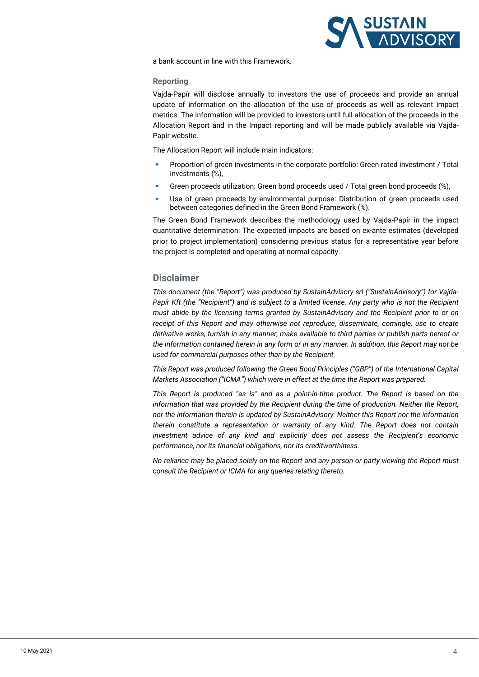

a bank account in line with this Framework.

#### **Reporting**

Vajda-Papír will disclose annually to investors the use of proceeds and provide an annual update of information on the allocation of the use of proceeds as well as relevant impact metrics. The information will be provided to investors until full allocation of the proceeds in the Allocation Report and in the Impact reporting and will be made publicly available via Vajda-Papír website.

The Allocation Report will include main indicators:

- Proportion of green investments in the corporate portfolio: Green rated investment / Total investments (%),
- Green proceeds utilization: Green bond proceeds used / Total green bond proceeds (%),
- Use of green proceeds by environmental purpose: Distribution of green proceeds used between categories defined in the Green Bond Framework (%).

The Green Bond Framework describes the methodology used by Vajda-Papír in the impact quantitative determination. The expected impacts are based on ex-ante estimates (developed prior to project implementation) considering previous status for a representative year before the project is completed and operating at normal capacity.

## **Disclaimer**

*This document (the "Report") was produced by SustainAdvisory srl ("SustainAdvisory") for Vajda-Papír Kft (the "Recipient") and is subject to a limited license. Any party who is not the Recipient must abide by the licensing terms granted by SustainAdvisory and the Recipient prior to or on receipt of this Report and may otherwise not reproduce, disseminate, comingle, use to create derivative works, furnish in any manner, make available to third parties or publish parts hereof or the information contained herein in any form or in any manner. In addition, this Report may not be used for commercial purposes other than by the Recipient.* 

*This Report was produced following the Green Bond Principles ("GBP") of the International Capital Markets Association ("ICMA") which were in effect at the time the Report was prepared.* 

*This Report is produced "as is" and as a point-in-time product. The Report is based on the information that was provided by the Recipient during the time of production. Neither the Report, nor the information therein is updated by SustainAdvisory. Neither this Report nor the information therein constitute a representation or warranty of any kind. The Report does not contain investment advice of any kind and explicitly does not assess the Recipient's economic performance, nor its financial obligations, nor its creditworthiness.* 

*No reliance may be placed solely on the Report and any person or party viewing the Report must consult the Recipient or ICMA for any queries relating thereto.*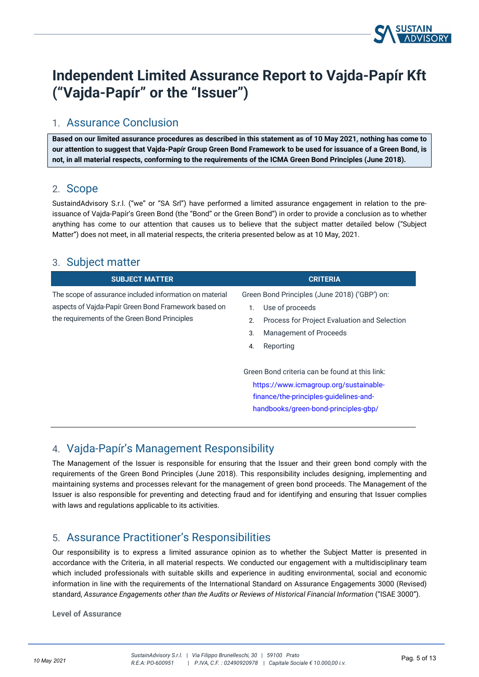

# **Independent Limited Assurance Report to Vajda-Papír Kft ("Vajda-Papír" or the "Issuer")**

# 1. Assurance Conclusion

**Based on our limited assurance procedures as described in this statement as of 10 May 2021, nothing has come to our attention to suggest that Vajda-Papír Group Green Bond Framework to be used for issuance of a Green Bond, is not, in all material respects, conforming to the requirements of the ICMA Green Bond Principles (June 2018).**

## 2. Scope

SustaindAdvisory S.r.l. ("we" or "SA Srl") have performed a limited assurance engagement in relation to the preissuance of Vajda-Papír's Green Bond (the "Bond" or the Green Bond") in order to provide a conclusion as to whether anything has come to our attention that causes us to believe that the subject matter detailed below ("Subject Matter") does not meet, in all material respects, the criteria presented below as at 10 May, 2021.

# 3. Subject matter

| <b>SUBJECT MATTER</b>                                                                                                                                            | <b>CRITERIA</b>                                                                                                                                                                  |
|------------------------------------------------------------------------------------------------------------------------------------------------------------------|----------------------------------------------------------------------------------------------------------------------------------------------------------------------------------|
| The scope of assurance included information on material<br>aspects of Vajda-Papír Green Bond Framework based on<br>the requirements of the Green Bond Principles | Green Bond Principles (June 2018) ('GBP') on:<br>Use of proceeds<br>Process for Project Evaluation and Selection<br>2.<br><b>Management of Proceeds</b><br>3.<br>Reporting<br>4. |
|                                                                                                                                                                  | Green Bond criteria can be found at this link:<br>https://www.icmagroup.org/sustainable-<br>finance/the-principles-quidelines-and-<br>handbooks/green-bond-principles-qbp/       |

# 4. Vajda-Papír's Management Responsibility

The Management of the Issuer is responsible for ensuring that the Issuer and their green bond comply with the requirements of the Green Bond Principles (June 2018). This responsibility includes designing, implementing and maintaining systems and processes relevant for the management of green bond proceeds. The Management of the Issuer is also responsible for preventing and detecting fraud and for identifying and ensuring that Issuer complies with laws and regulations applicable to its activities.

# 5. Assurance Practitioner's Responsibilities

Our responsibility is to express a limited assurance opinion as to whether the Subject Matter is presented in accordance with the Criteria, in all material respects. We conducted our engagement with a multidisciplinary team which included professionals with suitable skills and experience in auditing environmental, social and economic information in line with the requirements of the International Standard on Assurance Engagements 3000 (Revised) standard, *Assurance Engagements other than the Audits or Reviews of Historical Financial Information* ("ISAE 3000").

**Level of Assurance**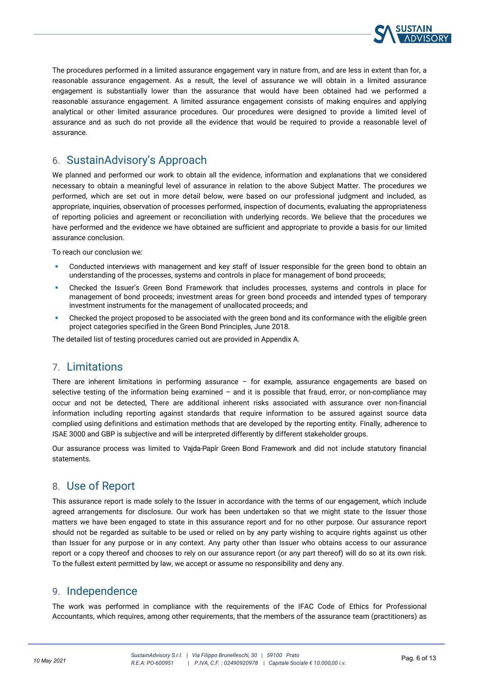

The procedures performed in a limited assurance engagement vary in nature from, and are less in extent than for, a reasonable assurance engagement. As a result, the level of assurance we will obtain in a limited assurance engagement is substantially lower than the assurance that would have been obtained had we performed a reasonable assurance engagement. A limited assurance engagement consists of making enquires and applying analytical or other limited assurance procedures. Our procedures were designed to provide a limited level of assurance and as such do not provide all the evidence that would be required to provide a reasonable level of assurance.

# 6. SustainAdvisory's Approach

We planned and performed our work to obtain all the evidence, information and explanations that we considered necessary to obtain a meaningful level of assurance in relation to the above Subject Matter. The procedures we performed, which are set out in more detail below, were based on our professional judgment and included, as appropriate, inquiries, observation of processes performed, inspection of documents, evaluating the appropriateness of reporting policies and agreement or reconciliation with underlying records. We believe that the procedures we have performed and the evidence we have obtained are sufficient and appropriate to provide a basis for our limited assurance conclusion.

To reach our conclusion we:

- Conducted interviews with management and key staff of Issuer responsible for the green bond to obtain an understanding of the processes, systems and controls in place for management of bond proceeds;
- Checked the Issuer's Green Bond Framework that includes processes, systems and controls in place for management of bond proceeds; investment areas for green bond proceeds and intended types of temporary investment instruments for the management of unallocated proceeds; and
- Checked the project proposed to be associated with the green bond and its conformance with the eligible green project categories specified in the Green Bond Principles, June 2018.

The detailed list of testing procedures carried out are provided in Appendix A.

# 7. Limitations

There are inherent limitations in performing assurance – for example, assurance engagements are based on selective testing of the information being examined  $-$  and it is possible that fraud, error, or non-compliance may occur and not be detected, There are additional inherent risks associated with assurance over non-financial information including reporting against standards that require information to be assured against source data complied using definitions and estimation methods that are developed by the reporting entity. Finally, adherence to ISAE 3000 and GBP is subjective and will be interpreted differently by different stakeholder groups.

Our assurance process was limited to Vajda-Papír Green Bond Framework and did not include statutory financial statements.

# 8. Use of Report

This assurance report is made solely to the Issuer in accordance with the terms of our engagement, which include agreed arrangements for disclosure. Our work has been undertaken so that we might state to the Issuer those matters we have been engaged to state in this assurance report and for no other purpose. Our assurance report should not be regarded as suitable to be used or relied on by any party wishing to acquire rights against us other than Issuer for any purpose or in any context. Any party other than Issuer who obtains access to our assurance report or a copy thereof and chooses to rely on our assurance report (or any part thereof) will do so at its own risk. To the fullest extent permitted by law, we accept or assume no responsibility and deny any.

# 9. Independence

The work was performed in compliance with the requirements of the IFAC Code of Ethics for Professional Accountants, which requires, among other requirements, that the members of the assurance team (practitioners) as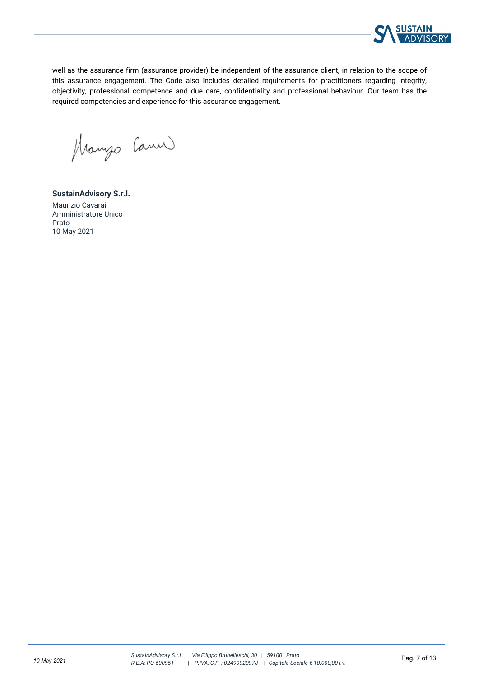

well as the assurance firm (assurance provider) be independent of the assurance client, in relation to the scope of this assurance engagement. The Code also includes detailed requirements for practitioners regarding integrity, objectivity, professional competence and due care, confidentiality and professional behaviour. Our team has the required competencies and experience for this assurance engagement.

Manyo Canu

**SustainAdvisory S.r.l.**  Maurizio Cavarai Amministratore Unico Prato 10 May 2021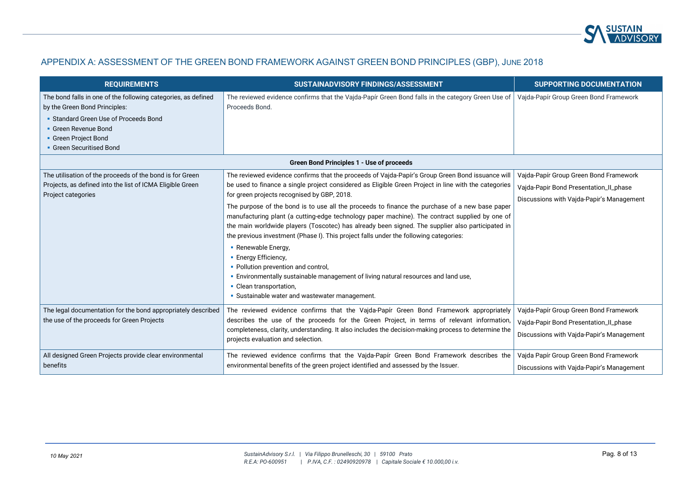

## APPENDIX A: ASSESSMENT OF THE GREEN BOND FRAMEWORK AGAINST GREEN BOND PRINCIPLES (GBP), JUNE 2018

| <b>REQUIREMENTS</b>                                                                                                                                                                                                 | SUSTAINADVISORY FINDINGS/ASSESSMENT                                                                                                                                                                                                                                                                                                                                                                                                                                                                                                                                                                                                                                                                                                                                                                                                                                                                               | <b>SUPPORTING DOCUMENTATION</b>                                                                                               |
|---------------------------------------------------------------------------------------------------------------------------------------------------------------------------------------------------------------------|-------------------------------------------------------------------------------------------------------------------------------------------------------------------------------------------------------------------------------------------------------------------------------------------------------------------------------------------------------------------------------------------------------------------------------------------------------------------------------------------------------------------------------------------------------------------------------------------------------------------------------------------------------------------------------------------------------------------------------------------------------------------------------------------------------------------------------------------------------------------------------------------------------------------|-------------------------------------------------------------------------------------------------------------------------------|
| The bond falls in one of the following categories, as defined<br>by the Green Bond Principles:<br>• Standard Green Use of Proceeds Bond<br>• Green Revenue Bond<br>• Green Project Bond<br>• Green Securitised Bond | The reviewed evidence confirms that the Vajda-Papír Green Bond falls in the category Green Use of<br>Proceeds Bond.                                                                                                                                                                                                                                                                                                                                                                                                                                                                                                                                                                                                                                                                                                                                                                                               | Vajda-Papír Group Green Bond Framework                                                                                        |
| Green Bond Principles 1 - Use of proceeds                                                                                                                                                                           |                                                                                                                                                                                                                                                                                                                                                                                                                                                                                                                                                                                                                                                                                                                                                                                                                                                                                                                   |                                                                                                                               |
| The utilisation of the proceeds of the bond is for Green<br>Projects, as defined into the list of ICMA Eligible Green<br>Project categories                                                                         | The reviewed evidence confirms that the proceeds of Vajda-Papír's Group Green Bond issuance will<br>be used to finance a single project considered as Eligible Green Project in line with the categories<br>for green projects recognised by GBP, 2018.<br>The purpose of the bond is to use all the proceeds to finance the purchase of a new base paper<br>manufacturing plant (a cutting-edge technology paper machine). The contract supplied by one of<br>the main worldwide players (Toscotec) has already been signed. The supplier also participated in<br>the previous investment (Phase I). This project falls under the following categories:<br>• Renewable Energy,<br>• Energy Efficiency,<br>• Pollution prevention and control,<br>. Environmentally sustainable management of living natural resources and land use,<br>• Clean transportation,<br>• Sustainable water and wastewater management. | Vajda-Papír Group Green Bond Framework<br>Vajda-Papir Bond Presentation_Il_phase<br>Discussions with Vajda-Papir's Management |
| The legal documentation for the bond appropriately described<br>the use of the proceeds for Green Projects                                                                                                          | The reviewed evidence confirms that the Vajda-Papír Green Bond Framework appropriately<br>describes the use of the proceeds for the Green Project, in terms of relevant information,<br>completeness, clarity, understanding. It also includes the decision-making process to determine the<br>projects evaluation and selection.                                                                                                                                                                                                                                                                                                                                                                                                                                                                                                                                                                                 | Vajda-Papír Group Green Bond Framework<br>Vajda-Papir Bond Presentation_Il_phase<br>Discussions with Vajda-Papir's Management |
| All designed Green Projects provide clear environmental<br>benefits                                                                                                                                                 | The reviewed evidence confirms that the Vajda-Papír Green Bond Framework describes the<br>environmental benefits of the green project identified and assessed by the Issuer.                                                                                                                                                                                                                                                                                                                                                                                                                                                                                                                                                                                                                                                                                                                                      | Vajda Papír Group Green Bond Framework<br>Discussions with Vajda-Papir's Management                                           |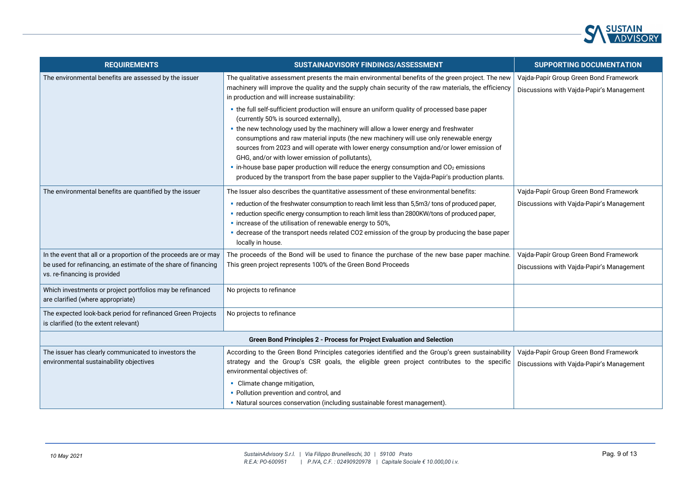

| <b>REQUIREMENTS</b>                                                                                                                                                | SUSTAINADVISORY FINDINGS/ASSESSMENT                                                                                                                                                                                                                                                                                                                                                                                                                                                                                                                                                                                                                                                         | <b>SUPPORTING DOCUMENTATION</b>                                                     |
|--------------------------------------------------------------------------------------------------------------------------------------------------------------------|---------------------------------------------------------------------------------------------------------------------------------------------------------------------------------------------------------------------------------------------------------------------------------------------------------------------------------------------------------------------------------------------------------------------------------------------------------------------------------------------------------------------------------------------------------------------------------------------------------------------------------------------------------------------------------------------|-------------------------------------------------------------------------------------|
| The environmental benefits are assessed by the issuer                                                                                                              | The qualitative assessment presents the main environmental benefits of the green project. The new<br>machinery will improve the quality and the supply chain security of the raw materials, the efficiency<br>in production and will increase sustainability:                                                                                                                                                                                                                                                                                                                                                                                                                               | Vajda-Papír Group Green Bond Framework<br>Discussions with Vajda-Papir's Management |
|                                                                                                                                                                    | . the full self-sufficient production will ensure an uniform quality of processed base paper<br>(currently 50% is sourced externally),<br>. the new technology used by the machinery will allow a lower energy and freshwater<br>consumptions and raw material inputs (the new machinery will use only renewable energy<br>sources from 2023 and will operate with lower energy consumption and/or lower emission of<br>GHG, and/or with lower emission of pollutants),<br>$\blacksquare$ in-house base paper production will reduce the energy consumption and CO <sub>2</sub> emissions<br>produced by the transport from the base paper supplier to the Vajda-Papír's production plants. |                                                                                     |
| The environmental benefits are quantified by the issuer                                                                                                            | The Issuer also describes the quantitative assessment of these environmental benefits:<br>• reduction of the freshwater consumption to reach limit less than 5,5m3/ tons of produced paper,<br>• reduction specific energy consumption to reach limit less than 2800KW/tons of produced paper,<br>• increase of the utilisation of renewable energy to 50%,<br>· decrease of the transport needs related CO2 emission of the group by producing the base paper<br>locally in house.                                                                                                                                                                                                         | Vajda-Papír Group Green Bond Framework<br>Discussions with Vajda-Papir's Management |
| In the event that all or a proportion of the proceeds are or may<br>be used for refinancing, an estimate of the share of financing<br>vs. re-financing is provided | The proceeds of the Bond will be used to finance the purchase of the new base paper machine.<br>This green project represents 100% of the Green Bond Proceeds                                                                                                                                                                                                                                                                                                                                                                                                                                                                                                                               | Vajda-Papír Group Green Bond Framework<br>Discussions with Vajda-Papir's Management |
| Which investments or project portfolios may be refinanced<br>are clarified (where appropriate)                                                                     | No projects to refinance                                                                                                                                                                                                                                                                                                                                                                                                                                                                                                                                                                                                                                                                    |                                                                                     |
| The expected look-back period for refinanced Green Projects<br>is clarified (to the extent relevant)                                                               | No projects to refinance                                                                                                                                                                                                                                                                                                                                                                                                                                                                                                                                                                                                                                                                    |                                                                                     |
| Green Bond Principles 2 - Process for Project Evaluation and Selection                                                                                             |                                                                                                                                                                                                                                                                                                                                                                                                                                                                                                                                                                                                                                                                                             |                                                                                     |
| The issuer has clearly communicated to investors the<br>environmental sustainability objectives                                                                    | According to the Green Bond Principles categories identified and the Group's green sustainability<br>strategy and the Group's CSR goals, the eligible green project contributes to the specific<br>environmental objectives of:                                                                                                                                                                                                                                                                                                                                                                                                                                                             | Vajda-Papír Group Green Bond Framework<br>Discussions with Vajda-Papir's Management |
|                                                                                                                                                                    | • Climate change mitigation,<br>• Pollution prevention and control, and<br>• Natural sources conservation (including sustainable forest management).                                                                                                                                                                                                                                                                                                                                                                                                                                                                                                                                        |                                                                                     |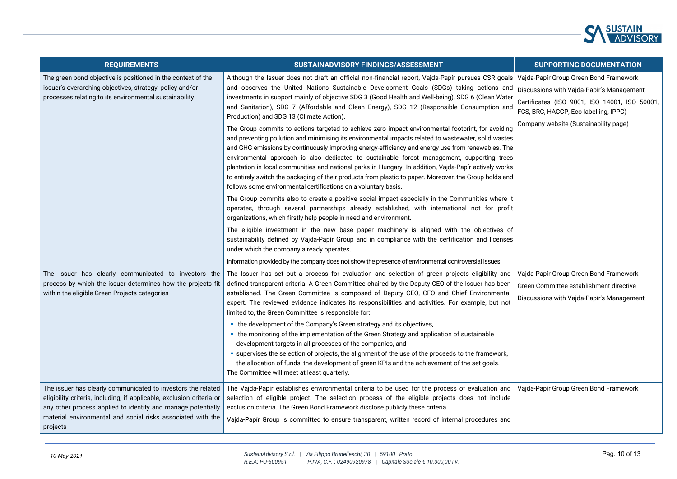

| <b>REQUIREMENTS</b>                                                                                                                                                                                                                                                              | SUSTAINADVISORY FINDINGS/ASSESSMENT                                                                                                                                                                                                                                                                                                                                                                                                                                                                                                                                                                                                                                                                                                                                                                                                                                                                                                                                                                                                                                                                                                                                                                                                                                                                                                                                                                                                                                                                                                                                                                                                                                             | <b>SUPPORTING DOCUMENTATION</b>                                                                                                                                                                                        |
|----------------------------------------------------------------------------------------------------------------------------------------------------------------------------------------------------------------------------------------------------------------------------------|---------------------------------------------------------------------------------------------------------------------------------------------------------------------------------------------------------------------------------------------------------------------------------------------------------------------------------------------------------------------------------------------------------------------------------------------------------------------------------------------------------------------------------------------------------------------------------------------------------------------------------------------------------------------------------------------------------------------------------------------------------------------------------------------------------------------------------------------------------------------------------------------------------------------------------------------------------------------------------------------------------------------------------------------------------------------------------------------------------------------------------------------------------------------------------------------------------------------------------------------------------------------------------------------------------------------------------------------------------------------------------------------------------------------------------------------------------------------------------------------------------------------------------------------------------------------------------------------------------------------------------------------------------------------------------|------------------------------------------------------------------------------------------------------------------------------------------------------------------------------------------------------------------------|
| The green bond objective is positioned in the context of the<br>issuer's overarching objectives, strategy, policy and/or<br>processes relating to its environmental sustainability                                                                                               | Although the Issuer does not draft an official non-financial report, Vajda-Papír pursues CSR goals<br>and observes the United Nations Sustainable Development Goals (SDGs) taking actions and<br>investments in support mainly of objective SDG 3 (Good Health and Well-being), SDG 6 (Clean Water<br>and Sanitation), SDG 7 (Affordable and Clean Energy), SDG 12 (Responsible Consumption and<br>Production) and SDG 13 (Climate Action).<br>The Group commits to actions targeted to achieve zero impact environmental footprint, for avoiding<br>and preventing pollution and minimising its environmental impacts related to wastewater, solid wastes<br>and GHG emissions by continuously improving energy-efficiency and energy use from renewables. The<br>environmental approach is also dedicated to sustainable forest management, supporting trees<br>plantation in local communities and national parks in Hungary. In addition, Vajda-Papír actively works<br>to entirely switch the packaging of their products from plastic to paper. Moreover, the Group holds and<br>follows some environmental certifications on a voluntary basis.<br>The Group commits also to create a positive social impact especially in the Communities where it<br>operates, through several partnerships already established, with international not for profit<br>organizations, which firstly help people in need and environment.<br>The eligible investment in the new base paper machinery is aligned with the objectives of<br>sustainability defined by Vajda-Papír Group and in compliance with the certification and licenses<br>under which the company already operates. | Vajda-Papír Group Green Bond Framework<br>Discussions with Vajda-Papir's Management<br>Certificates (ISO 9001, ISO 14001, ISO 50001,<br>FCS, BRC, HACCP, Eco-labelling, IPPC)<br>Company website (Sustainability page) |
|                                                                                                                                                                                                                                                                                  | Information provided by the company does not show the presence of environmental controversial issues.                                                                                                                                                                                                                                                                                                                                                                                                                                                                                                                                                                                                                                                                                                                                                                                                                                                                                                                                                                                                                                                                                                                                                                                                                                                                                                                                                                                                                                                                                                                                                                           |                                                                                                                                                                                                                        |
| The issuer has clearly communicated to investors the<br>process by which the issuer determines how the projects fit<br>within the eligible Green Projects categories                                                                                                             | The Issuer has set out a process for evaluation and selection of green projects eligibility and<br>defined transparent criteria. A Green Committee chaired by the Deputy CEO of the Issuer has been<br>established. The Green Committee is composed of Deputy CEO, CFO and Chief Environmental<br>expert. The reviewed evidence indicates its responsibilities and activities. For example, but not<br>limited to, the Green Committee is responsible for:<br>• the development of the Company's Green strategy and its objectives,<br>• the monitoring of the implementation of the Green Strategy and application of sustainable<br>development targets in all processes of the companies, and<br>• supervises the selection of projects, the alignment of the use of the proceeds to the framework,<br>the allocation of funds, the development of green KPIs and the achievement of the set goals.<br>The Committee will meet at least quarterly.                                                                                                                                                                                                                                                                                                                                                                                                                                                                                                                                                                                                                                                                                                                           | Vajda-Papír Group Green Bond Framework<br>Green Committee establishment directive<br>Discussions with Vajda-Papír's Management                                                                                         |
| The issuer has clearly communicated to investors the related<br>eligibility criteria, including, if applicable, exclusion criteria or<br>any other process applied to identify and manage potentially<br>material environmental and social risks associated with the<br>projects | The Vajda-Papír establishes environmental criteria to be used for the process of evaluation and<br>selection of eligible project. The selection process of the eligible projects does not include<br>exclusion criteria. The Green Bond Framework disclose publicly these criteria.<br>Vajda-Papír Group is committed to ensure transparent, written record of internal procedures and                                                                                                                                                                                                                                                                                                                                                                                                                                                                                                                                                                                                                                                                                                                                                                                                                                                                                                                                                                                                                                                                                                                                                                                                                                                                                          | Vajda-Papír Group Green Bond Framework                                                                                                                                                                                 |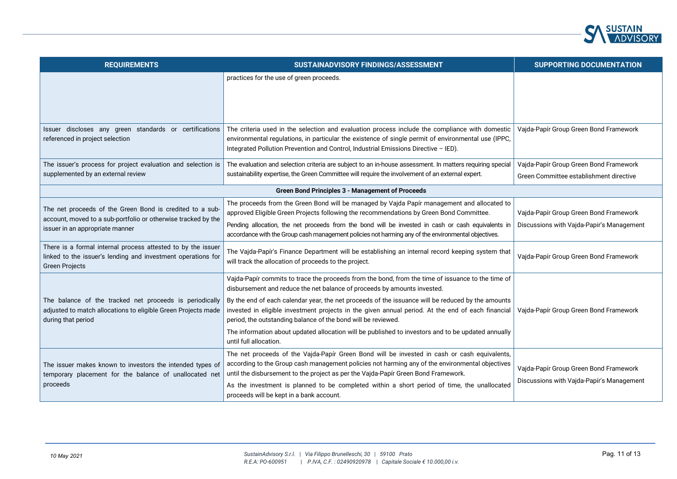

| <b>REQUIREMENTS</b>                                                                                                                                          | SUSTAINADVISORY FINDINGS/ASSESSMENT                                                                                                                                                                                                                                                                                                                                                                                                                                                                                                                                                      | <b>SUPPORTING DOCUMENTATION</b>                                                     |
|--------------------------------------------------------------------------------------------------------------------------------------------------------------|------------------------------------------------------------------------------------------------------------------------------------------------------------------------------------------------------------------------------------------------------------------------------------------------------------------------------------------------------------------------------------------------------------------------------------------------------------------------------------------------------------------------------------------------------------------------------------------|-------------------------------------------------------------------------------------|
|                                                                                                                                                              | practices for the use of green proceeds.                                                                                                                                                                                                                                                                                                                                                                                                                                                                                                                                                 |                                                                                     |
| Issuer discloses any green standards or certifications<br>referenced in project selection                                                                    | The criteria used in the selection and evaluation process include the compliance with domestic<br>environmental regulations, in particular the existence of single permit of environmental use (IPPC,<br>Integrated Pollution Prevention and Control, Industrial Emissions Directive - IED).                                                                                                                                                                                                                                                                                             | Vajda-Papír Group Green Bond Framework                                              |
| The issuer's process for project evaluation and selection is<br>supplemented by an external review                                                           | The evaluation and selection criteria are subject to an in-house assessment. In matters requiring special<br>sustainability expertise, the Green Committee will require the involvement of an external expert.                                                                                                                                                                                                                                                                                                                                                                           | Vajda-Papír Group Green Bond Framework                                              |
|                                                                                                                                                              |                                                                                                                                                                                                                                                                                                                                                                                                                                                                                                                                                                                          | Green Committee establishment directive                                             |
|                                                                                                                                                              | <b>Green Bond Principles 3 - Management of Proceeds</b>                                                                                                                                                                                                                                                                                                                                                                                                                                                                                                                                  |                                                                                     |
| The net proceeds of the Green Bond is credited to a sub-<br>account, moved to a sub-portfolio or otherwise tracked by the<br>issuer in an appropriate manner | The proceeds from the Green Bond will be managed by Vajda Papír management and allocated to<br>approved Eligible Green Projects following the recommendations by Green Bond Committee.<br>Pending allocation, the net proceeds from the bond will be invested in cash or cash equivalents in<br>accordance with the Group cash management policies not harming any of the environmental objectives.                                                                                                                                                                                      | Vajda-Papír Group Green Bond Framework<br>Discussions with Vajda-Papir's Management |
| There is a formal internal process attested to by the issuer<br>linked to the issuer's lending and investment operations for<br><b>Green Projects</b>        | The Vajda-Papír's Finance Department will be establishing an internal record keeping system that<br>will track the allocation of proceeds to the project.                                                                                                                                                                                                                                                                                                                                                                                                                                | Vajda-Papír Group Green Bond Framework                                              |
| The balance of the tracked net proceeds is periodically<br>adjusted to match allocations to eligible Green Projects made<br>during that period               | Vajda-Papír commits to trace the proceeds from the bond, from the time of issuance to the time of<br>disbursement and reduce the net balance of proceeds by amounts invested.<br>By the end of each calendar year, the net proceeds of the issuance will be reduced by the amounts<br>invested in eligible investment projects in the given annual period. At the end of each financial<br>period, the outstanding balance of the bond will be reviewed.<br>The information about updated allocation will be published to investors and to be updated annually<br>until full allocation. | Vajda-Papír Group Green Bond Framework                                              |
| The issuer makes known to investors the intended types of<br>temporary placement for the balance of unallocated net<br>proceeds                              | The net proceeds of the Vajda-Papír Green Bond will be invested in cash or cash equivalents,<br>according to the Group cash management policies not harming any of the environmental objectives<br>until the disbursement to the project as per the Vajda-Papír Green Bond Framework.<br>As the investment is planned to be completed within a short period of time, the unallocated<br>proceeds will be kept in a bank account.                                                                                                                                                         | Vajda-Papír Group Green Bond Framework<br>Discussions with Vajda-Papír's Management |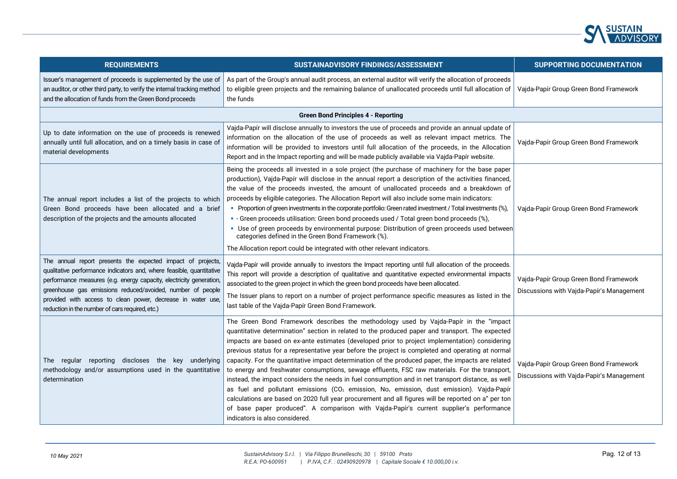

| <b>REQUIREMENTS</b>                                                                                                                                                                                                                                                                                                                                                                        | SUSTAINADVISORY FINDINGS/ASSESSMENT                                                                                                                                                                                                                                                                                                                                                                                                                                                                                                                                                                                                                                                                                                                                                                                                                                                                                                                                                                                                                                    | <b>SUPPORTING DOCUMENTATION</b>                                                     |
|--------------------------------------------------------------------------------------------------------------------------------------------------------------------------------------------------------------------------------------------------------------------------------------------------------------------------------------------------------------------------------------------|------------------------------------------------------------------------------------------------------------------------------------------------------------------------------------------------------------------------------------------------------------------------------------------------------------------------------------------------------------------------------------------------------------------------------------------------------------------------------------------------------------------------------------------------------------------------------------------------------------------------------------------------------------------------------------------------------------------------------------------------------------------------------------------------------------------------------------------------------------------------------------------------------------------------------------------------------------------------------------------------------------------------------------------------------------------------|-------------------------------------------------------------------------------------|
| Issuer's management of proceeds is supplemented by the use of<br>an auditor, or other third party, to verify the internal tracking method<br>and the allocation of funds from the Green Bond proceeds                                                                                                                                                                                      | As part of the Group's annual audit process, an external auditor will verify the allocation of proceeds<br>to eligible green projects and the remaining balance of unallocated proceeds until full allocation of<br>the funds                                                                                                                                                                                                                                                                                                                                                                                                                                                                                                                                                                                                                                                                                                                                                                                                                                          | Vajda-Papír Group Green Bond Framework                                              |
|                                                                                                                                                                                                                                                                                                                                                                                            | <b>Green Bond Principles 4 - Reporting</b>                                                                                                                                                                                                                                                                                                                                                                                                                                                                                                                                                                                                                                                                                                                                                                                                                                                                                                                                                                                                                             |                                                                                     |
| Up to date information on the use of proceeds is renewed<br>annually until full allocation, and on a timely basis in case of<br>material developments                                                                                                                                                                                                                                      | Vajda-Papír will disclose annually to investors the use of proceeds and provide an annual update of<br>information on the allocation of the use of proceeds as well as relevant impact metrics. The<br>information will be provided to investors until full allocation of the proceeds, in the Allocation<br>Report and in the Impact reporting and will be made publicly available via Vajda-Papír website.                                                                                                                                                                                                                                                                                                                                                                                                                                                                                                                                                                                                                                                           | Vajda-Papír Group Green Bond Framework                                              |
| The annual report includes a list of the projects to which<br>Green Bond proceeds have been allocated and a brief<br>description of the projects and the amounts allocated                                                                                                                                                                                                                 | Being the proceeds all invested in a sole project (the purchase of machinery for the base paper<br>production), Vajda-Papír will disclose in the annual report a description of the activities financed,<br>the value of the proceeds invested, the amount of unallocated proceeds and a breakdown of<br>proceeds by eligible categories. The Allocation Report will also include some main indicators:<br>• Proportion of green investments in the corporate portfolio: Green rated investment / Total investments (%),<br>- Green proceeds utilisation: Green bond proceeds used / Total green bond proceeds (%),<br>• Use of green proceeds by environmental purpose: Distribution of green proceeds used between<br>categories defined in the Green Bond Framework (%).<br>The Allocation report could be integrated with other relevant indicators.                                                                                                                                                                                                               | Vajda-Papír Group Green Bond Framework                                              |
| The annual report presents the expected impact of projects,<br>qualitative performance indicators and, where feasible, quantitative<br>performance measures (e.g. energy capacity, electricity generation,<br>greenhouse gas emissions reduced/avoided, number of people<br>provided with access to clean power, decrease in water use,<br>reduction in the number of cars required, etc.) | Vajda-Papír will provide annually to investors the Impact reporting until full allocation of the proceeds.<br>This report will provide a description of qualitative and quantitative expected environmental impacts<br>associated to the green project in which the green bond proceeds have been allocated.<br>The Issuer plans to report on a number of project performance specific measures as listed in the<br>last table of the Vajda-Papír Green Bond Framework.                                                                                                                                                                                                                                                                                                                                                                                                                                                                                                                                                                                                | Vajda-Papír Group Green Bond Framework<br>Discussions with Vajda-Papír's Management |
| The regular reporting discloses the key underlying<br>methodology and/or assumptions used in the quantitative<br>determination                                                                                                                                                                                                                                                             | The Green Bond Framework describes the methodology used by Vajda-Papír in the "impact<br>quantitative determination" section in related to the produced paper and transport. The expected<br>impacts are based on ex-ante estimates (developed prior to project implementation) considering<br>previous status for a representative year before the project is completed and operating at normal<br>capacity. For the quantitative impact determination of the produced paper, the impacts are related<br>to energy and freshwater consumptions, sewage effluents, FSC raw materials. For the transport,<br>instead, the impact considers the needs in fuel consumption and in net transport distance, as well<br>as fuel and pollutant emissions (CO <sub>2</sub> emission, No <sub>x</sub> emission, dust emission). Vajda-Papír<br>calculations are based on 2020 full year procurement and all figures will be reported on a" per ton<br>of base paper produced". A comparison with Vajda-Papír's current supplier's performance<br>indicators is also considered. | Vajda-Papír Group Green Bond Framework<br>Discussions with Vajda-Papír's Management |